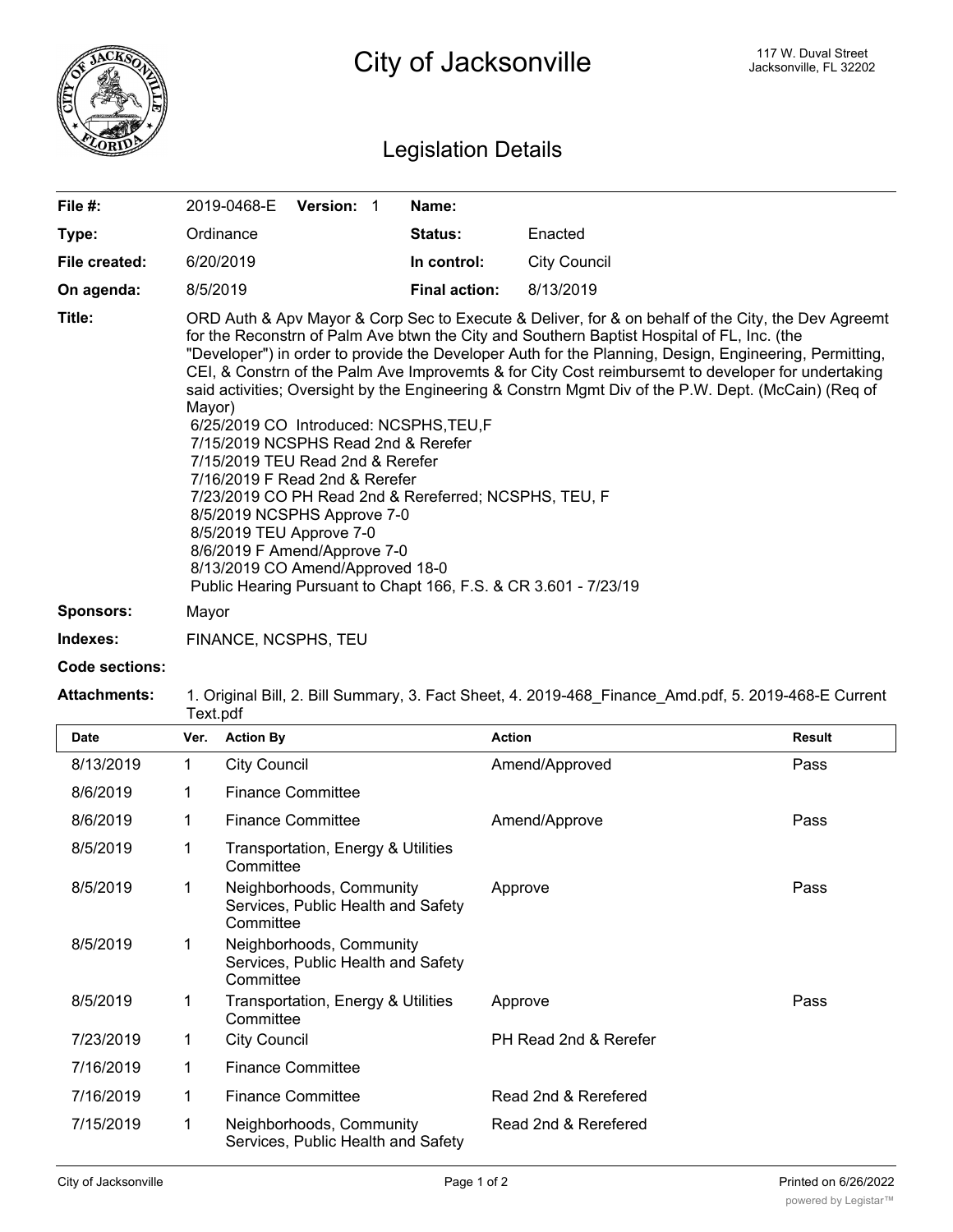

## Legislation Details

| File #:       | <b>Version:</b><br>2019-0468-E                                                                                                                                                                                                                                                                                                                                                                                                                                                                                                                                                                                                                                                                                                                                                                                                                                                    | Name:                |                     |  |
|---------------|-----------------------------------------------------------------------------------------------------------------------------------------------------------------------------------------------------------------------------------------------------------------------------------------------------------------------------------------------------------------------------------------------------------------------------------------------------------------------------------------------------------------------------------------------------------------------------------------------------------------------------------------------------------------------------------------------------------------------------------------------------------------------------------------------------------------------------------------------------------------------------------|----------------------|---------------------|--|
| Type:         | Ordinance                                                                                                                                                                                                                                                                                                                                                                                                                                                                                                                                                                                                                                                                                                                                                                                                                                                                         | <b>Status:</b>       | Enacted             |  |
| File created: | 6/20/2019                                                                                                                                                                                                                                                                                                                                                                                                                                                                                                                                                                                                                                                                                                                                                                                                                                                                         | In control:          | <b>City Council</b> |  |
| On agenda:    | 8/5/2019                                                                                                                                                                                                                                                                                                                                                                                                                                                                                                                                                                                                                                                                                                                                                                                                                                                                          | <b>Final action:</b> | 8/13/2019           |  |
| Title:        | ORD Auth & Apv Mayor & Corp Sec to Execute & Deliver, for & on behalf of the City, the Dev Agreemt<br>for the Reconstrn of Palm Ave btwn the City and Southern Baptist Hospital of FL, Inc. (the<br>"Developer") in order to provide the Developer Auth for the Planning, Design, Engineering, Permitting,<br>CEI, & Constrn of the Palm Ave Improvemts & for City Cost reimbursemt to developer for undertaking<br>said activities; Oversight by the Engineering & Constrn Mgmt Div of the P.W. Dept. (McCain) (Req of<br>Mayor)<br>6/25/2019 CO Introduced: NCSPHS, TEU, F<br>7/15/2019 NCSPHS Read 2nd & Rerefer<br>7/15/2019 TEU Read 2nd & Rerefer<br>7/16/2019 F Read 2nd & Rerefer<br>7/23/2019 CO PH Read 2nd & Rereferred; NCSPHS, TEU, F<br>8/5/2019 NCSPHS Approve 7-0<br>8/5/2019 TEU Approve 7-0<br>8/6/2019 F Amend/Approve 7-0<br>8/13/2019 CO Amend/Approved 18-0 |                      |                     |  |
| Sponsors:     | Mayor                                                                                                                                                                                                                                                                                                                                                                                                                                                                                                                                                                                                                                                                                                                                                                                                                                                                             |                      |                     |  |

**Indexes:** FINANCE, NCSPHS, TEU

**Code sections:**

## **Attachments:** 1. Original Bill, 2. Bill Summary, 3. Fact Sheet, 4. 2019-468\_Finance\_Amd.pdf, 5. 2019-468-E Current Text.pdf

| <b>Date</b> | Ver. | <b>Action By</b>                                                            | <b>Action</b>         | <b>Result</b> |
|-------------|------|-----------------------------------------------------------------------------|-----------------------|---------------|
| 8/13/2019   | 1    | <b>City Council</b>                                                         | Amend/Approved        | Pass          |
| 8/6/2019    | 1    | <b>Finance Committee</b>                                                    |                       |               |
| 8/6/2019    |      | <b>Finance Committee</b>                                                    | Amend/Approve         | Pass          |
| 8/5/2019    | 1    | Transportation, Energy & Utilities<br>Committee                             |                       |               |
| 8/5/2019    | 1    | Neighborhoods, Community<br>Services, Public Health and Safety<br>Committee | Approve               | Pass          |
| 8/5/2019    | 1    | Neighborhoods, Community<br>Services, Public Health and Safety<br>Committee |                       |               |
| 8/5/2019    |      | Transportation, Energy & Utilities<br>Committee                             | Approve               | Pass          |
| 7/23/2019   | 1    | <b>City Council</b>                                                         | PH Read 2nd & Rerefer |               |
| 7/16/2019   | 1    | <b>Finance Committee</b>                                                    |                       |               |
| 7/16/2019   | 1    | <b>Finance Committee</b>                                                    | Read 2nd & Rerefered  |               |
| 7/15/2019   | 1    | Neighborhoods, Community<br>Services, Public Health and Safety              | Read 2nd & Rerefered  |               |